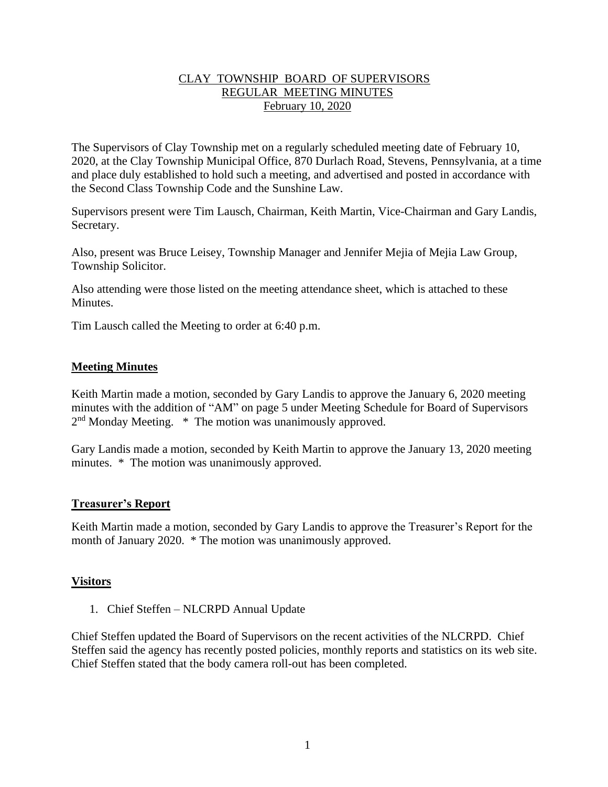## CLAY TOWNSHIP BOARD OF SUPERVISORS REGULAR MEETING MINUTES February 10, 2020

The Supervisors of Clay Township met on a regularly scheduled meeting date of February 10, 2020, at the Clay Township Municipal Office, 870 Durlach Road, Stevens, Pennsylvania, at a time and place duly established to hold such a meeting, and advertised and posted in accordance with the Second Class Township Code and the Sunshine Law.

Supervisors present were Tim Lausch, Chairman, Keith Martin, Vice-Chairman and Gary Landis, Secretary.

Also, present was Bruce Leisey, Township Manager and Jennifer Mejia of Mejia Law Group, Township Solicitor.

Also attending were those listed on the meeting attendance sheet, which is attached to these **Minutes** 

Tim Lausch called the Meeting to order at 6:40 p.m.

## **Meeting Minutes**

Keith Martin made a motion, seconded by Gary Landis to approve the January 6, 2020 meeting minutes with the addition of "AM" on page 5 under Meeting Schedule for Board of Supervisors 2<sup>nd</sup> Monday Meeting. \* The motion was unanimously approved.

Gary Landis made a motion, seconded by Keith Martin to approve the January 13, 2020 meeting minutes. \* The motion was unanimously approved.

## **Treasurer's Report**

Keith Martin made a motion, seconded by Gary Landis to approve the Treasurer's Report for the month of January 2020. \* The motion was unanimously approved.

## **Visitors**

1. Chief Steffen – NLCRPD Annual Update

Chief Steffen updated the Board of Supervisors on the recent activities of the NLCRPD. Chief Steffen said the agency has recently posted policies, monthly reports and statistics on its web site. Chief Steffen stated that the body camera roll-out has been completed.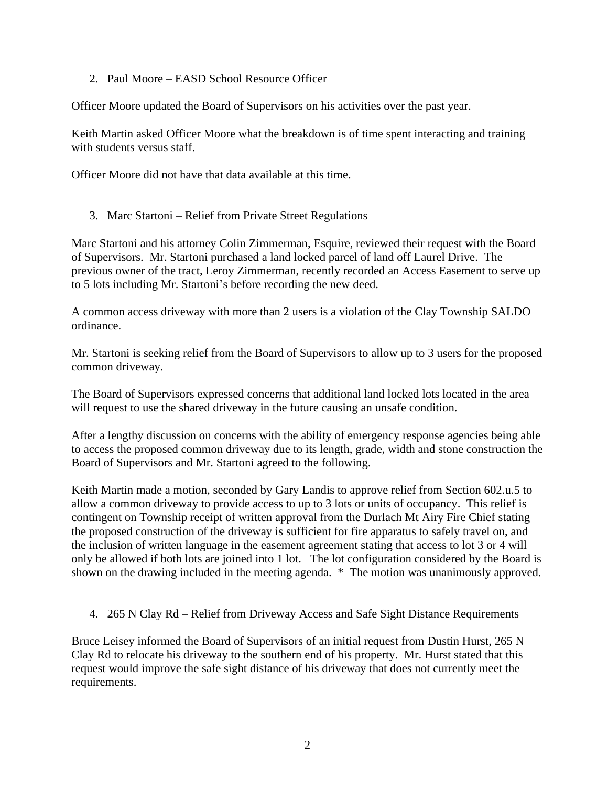2. Paul Moore – EASD School Resource Officer

Officer Moore updated the Board of Supervisors on his activities over the past year.

Keith Martin asked Officer Moore what the breakdown is of time spent interacting and training with students versus staff.

Officer Moore did not have that data available at this time.

3. Marc Startoni – Relief from Private Street Regulations

Marc Startoni and his attorney Colin Zimmerman, Esquire, reviewed their request with the Board of Supervisors. Mr. Startoni purchased a land locked parcel of land off Laurel Drive. The previous owner of the tract, Leroy Zimmerman, recently recorded an Access Easement to serve up to 5 lots including Mr. Startoni's before recording the new deed.

A common access driveway with more than 2 users is a violation of the Clay Township SALDO ordinance.

Mr. Startoni is seeking relief from the Board of Supervisors to allow up to 3 users for the proposed common driveway.

The Board of Supervisors expressed concerns that additional land locked lots located in the area will request to use the shared driveway in the future causing an unsafe condition.

After a lengthy discussion on concerns with the ability of emergency response agencies being able to access the proposed common driveway due to its length, grade, width and stone construction the Board of Supervisors and Mr. Startoni agreed to the following.

Keith Martin made a motion, seconded by Gary Landis to approve relief from Section 602.u.5 to allow a common driveway to provide access to up to 3 lots or units of occupancy. This relief is contingent on Township receipt of written approval from the Durlach Mt Airy Fire Chief stating the proposed construction of the driveway is sufficient for fire apparatus to safely travel on, and the inclusion of written language in the easement agreement stating that access to lot 3 or 4 will only be allowed if both lots are joined into 1 lot. The lot configuration considered by the Board is shown on the drawing included in the meeting agenda. \* The motion was unanimously approved.

4. 265 N Clay Rd – Relief from Driveway Access and Safe Sight Distance Requirements

Bruce Leisey informed the Board of Supervisors of an initial request from Dustin Hurst, 265 N Clay Rd to relocate his driveway to the southern end of his property. Mr. Hurst stated that this request would improve the safe sight distance of his driveway that does not currently meet the requirements.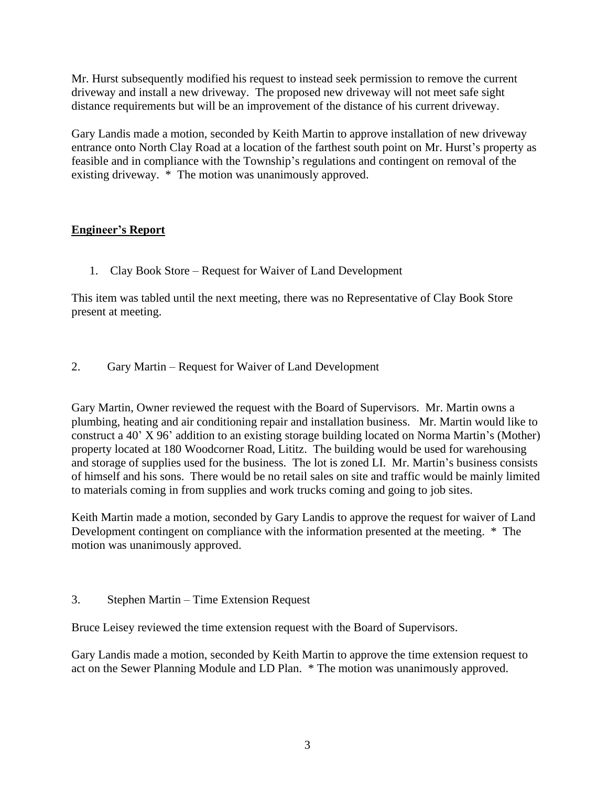Mr. Hurst subsequently modified his request to instead seek permission to remove the current driveway and install a new driveway. The proposed new driveway will not meet safe sight distance requirements but will be an improvement of the distance of his current driveway.

Gary Landis made a motion, seconded by Keith Martin to approve installation of new driveway entrance onto North Clay Road at a location of the farthest south point on Mr. Hurst's property as feasible and in compliance with the Township's regulations and contingent on removal of the existing driveway. \* The motion was unanimously approved.

# **Engineer's Report**

1. Clay Book Store – Request for Waiver of Land Development

This item was tabled until the next meeting, there was no Representative of Clay Book Store present at meeting.

2. Gary Martin – Request for Waiver of Land Development

Gary Martin, Owner reviewed the request with the Board of Supervisors. Mr. Martin owns a plumbing, heating and air conditioning repair and installation business. Mr. Martin would like to construct a 40' X 96' addition to an existing storage building located on Norma Martin's (Mother) property located at 180 Woodcorner Road, Lititz. The building would be used for warehousing and storage of supplies used for the business. The lot is zoned LI. Mr. Martin's business consists of himself and his sons. There would be no retail sales on site and traffic would be mainly limited to materials coming in from supplies and work trucks coming and going to job sites.

Keith Martin made a motion, seconded by Gary Landis to approve the request for waiver of Land Development contingent on compliance with the information presented at the meeting. \* The motion was unanimously approved.

3. Stephen Martin – Time Extension Request

Bruce Leisey reviewed the time extension request with the Board of Supervisors.

Gary Landis made a motion, seconded by Keith Martin to approve the time extension request to act on the Sewer Planning Module and LD Plan. \* The motion was unanimously approved.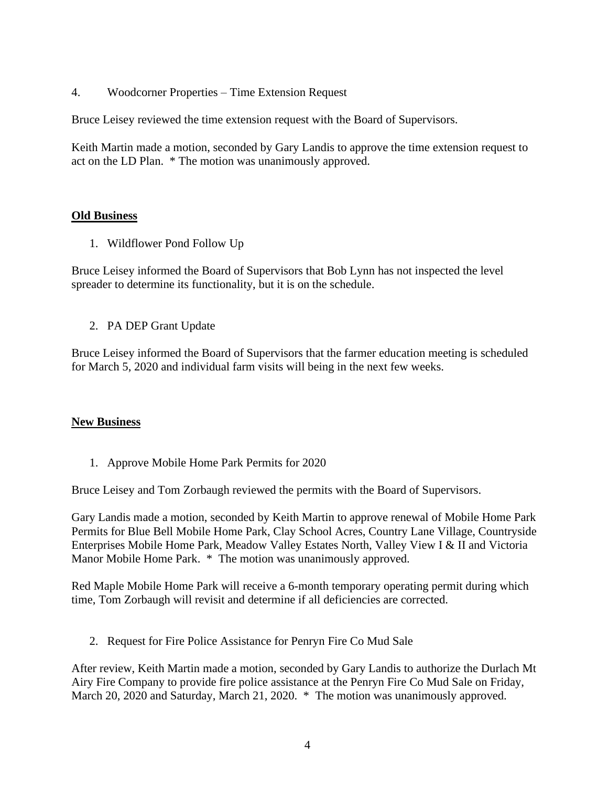4. Woodcorner Properties – Time Extension Request

Bruce Leisey reviewed the time extension request with the Board of Supervisors.

Keith Martin made a motion, seconded by Gary Landis to approve the time extension request to act on the LD Plan. \* The motion was unanimously approved.

## **Old Business**

1. Wildflower Pond Follow Up

Bruce Leisey informed the Board of Supervisors that Bob Lynn has not inspected the level spreader to determine its functionality, but it is on the schedule.

2. PA DEP Grant Update

Bruce Leisey informed the Board of Supervisors that the farmer education meeting is scheduled for March 5, 2020 and individual farm visits will being in the next few weeks.

## **New Business**

1. Approve Mobile Home Park Permits for 2020

Bruce Leisey and Tom Zorbaugh reviewed the permits with the Board of Supervisors.

Gary Landis made a motion, seconded by Keith Martin to approve renewal of Mobile Home Park Permits for Blue Bell Mobile Home Park, Clay School Acres, Country Lane Village, Countryside Enterprises Mobile Home Park, Meadow Valley Estates North, Valley View I & II and Victoria Manor Mobile Home Park. \* The motion was unanimously approved.

Red Maple Mobile Home Park will receive a 6-month temporary operating permit during which time, Tom Zorbaugh will revisit and determine if all deficiencies are corrected.

2. Request for Fire Police Assistance for Penryn Fire Co Mud Sale

After review, Keith Martin made a motion, seconded by Gary Landis to authorize the Durlach Mt Airy Fire Company to provide fire police assistance at the Penryn Fire Co Mud Sale on Friday, March 20, 2020 and Saturday, March 21, 2020. \* The motion was unanimously approved.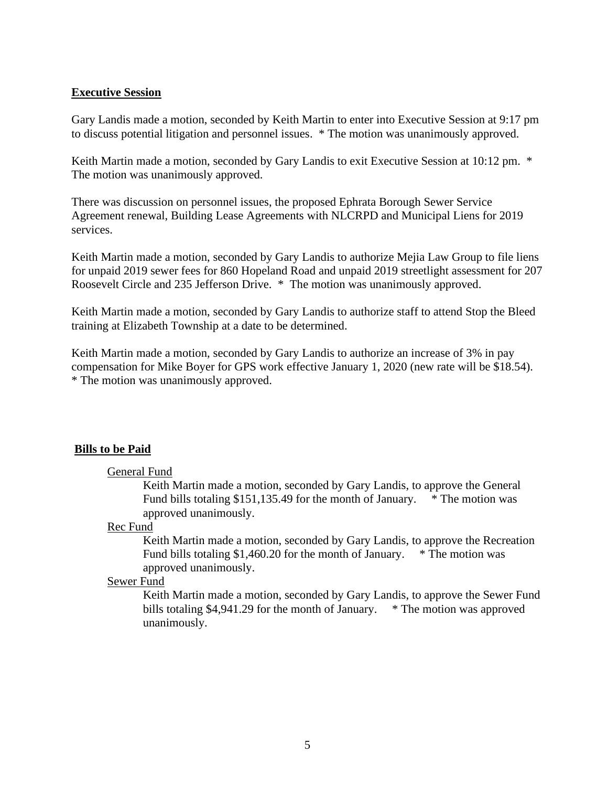#### **Executive Session**

Gary Landis made a motion, seconded by Keith Martin to enter into Executive Session at 9:17 pm to discuss potential litigation and personnel issues. \* The motion was unanimously approved.

Keith Martin made a motion, seconded by Gary Landis to exit Executive Session at 10:12 pm.  $*$ The motion was unanimously approved.

There was discussion on personnel issues, the proposed Ephrata Borough Sewer Service Agreement renewal, Building Lease Agreements with NLCRPD and Municipal Liens for 2019 services.

Keith Martin made a motion, seconded by Gary Landis to authorize Mejia Law Group to file liens for unpaid 2019 sewer fees for 860 Hopeland Road and unpaid 2019 streetlight assessment for 207 Roosevelt Circle and 235 Jefferson Drive. \* The motion was unanimously approved.

Keith Martin made a motion, seconded by Gary Landis to authorize staff to attend Stop the Bleed training at Elizabeth Township at a date to be determined.

Keith Martin made a motion, seconded by Gary Landis to authorize an increase of 3% in pay compensation for Mike Boyer for GPS work effective January 1, 2020 (new rate will be \$18.54). \* The motion was unanimously approved.

## **Bills to be Paid**

#### General Fund

Keith Martin made a motion, seconded by Gary Landis, to approve the General Fund bills totaling \$151,135.49 for the month of January. \* The motion was approved unanimously.

#### Rec Fund

Keith Martin made a motion, seconded by Gary Landis, to approve the Recreation Fund bills totaling \$1,460.20 for the month of January.  $*$  The motion was approved unanimously.

#### Sewer Fund

Keith Martin made a motion, seconded by Gary Landis, to approve the Sewer Fund bills totaling \$4,941.29 for the month of January. \* The motion was approved unanimously.